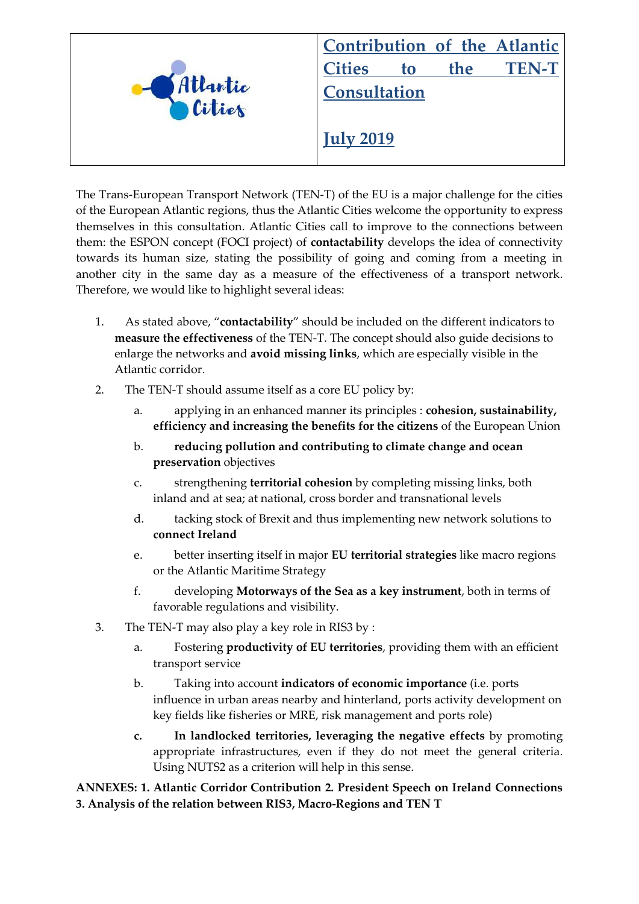

The Trans-European Transport Network (TEN-T) of the EU is a major challenge for the cities of the European Atlantic regions, thus the Atlantic Cities welcome the opportunity to express themselves in this consultation. Atlantic Cities call to improve to the connections between them: the ESPON concept (FOCI project) of **contactability** develops the idea of connectivity towards its human size, stating the possibility of going and coming from a meeting in another city in the same day as a measure of the effectiveness of a transport network. Therefore, we would like to highlight several ideas:

- 1. As stated above, "**contactability**" should be included on the different indicators to **measure the effectiveness** of the TEN-T. The concept should also guide decisions to enlarge the networks and **avoid missing links**, which are especially visible in the Atlantic corridor.
- 2. The TEN-T should assume itself as a core EU policy by:
	- a. applying in an enhanced manner its principles : **cohesion, sustainability, efficiency and increasing the benefits for the citizens** of the European Union
	- b. **reducing pollution and contributing to climate change and ocean preservation** objectives
	- c. strengthening **territorial cohesion** by completing missing links, both inland and at sea; at national, cross border and transnational levels
	- d. tacking stock of Brexit and thus implementing new network solutions to **connect Ireland**
	- e. better inserting itself in major **EU territorial strategies** like macro regions or the Atlantic Maritime Strategy
	- f. developing **Motorways of the Sea as a key instrument**, both in terms of favorable regulations and visibility.
- 3. The TEN-T may also play a key role in RIS3 by :
	- a. Fostering **productivity of EU territories**, providing them with an efficient transport service
	- b. Taking into account **indicators of economic importance** (i.e. ports influence in urban areas nearby and hinterland, ports activity development on key fields like fisheries or MRE, risk management and ports role)
	- **c. In landlocked territories, leveraging the negative effects** by promoting appropriate infrastructures, even if they do not meet the general criteria. Using NUTS2 as a criterion will help in this sense.

#### **ANNEXES: 1. Atlantic Corridor Contribution 2. President Speech on Ireland Connections 3. Analysis of the relation between RIS3, Macro-Regions and TEN T**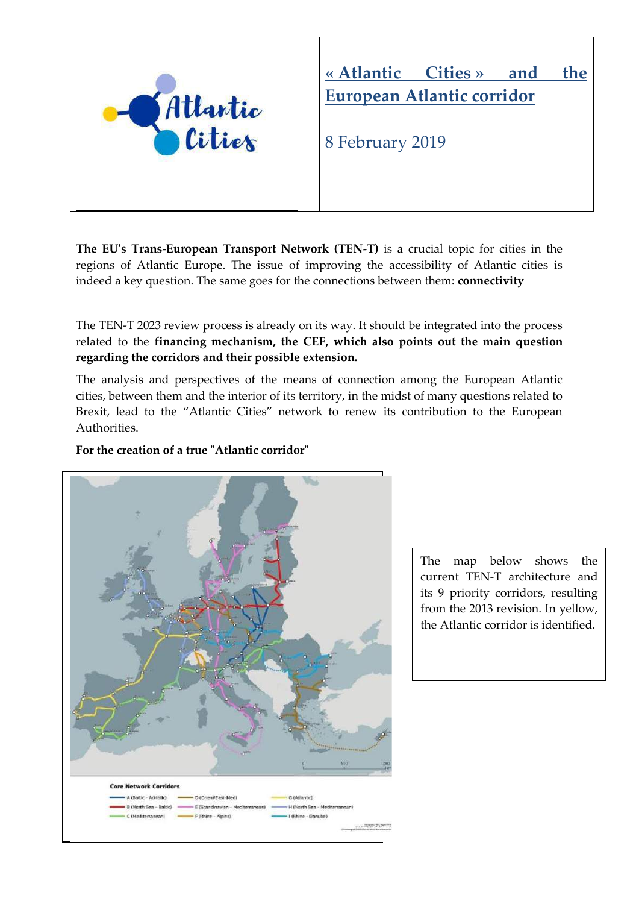

#### **« Atlantic Cities » and the European Atlantic corridor**

8 February 2019

**The EU's Trans-European Transport Network (TEN-T)** is a crucial topic for cities in the regions of Atlantic Europe. The issue of improving the accessibility of Atlantic cities is indeed a key question. The same goes for the connections between them: **connectivity**

The TEN-T 2023 review process is already on its way. It should be integrated into the process related to the **financing mechanism, the CEF, which also points out the main question regarding the corridors and their possible extension.**

The analysis and perspectives of the means of connection among the European Atlantic cities, between them and the interior of its territory, in the midst of many questions related to Brexit, lead to the "Atlantic Cities" network to renew its contribution to the European Authorities.

#### **For the creation of a true "Atlantic corridor"**



The map below shows the current TEN-T architecture and its 9 priority corridors, resulting from the 2013 revision. In yellow, the Atlantic corridor is identified.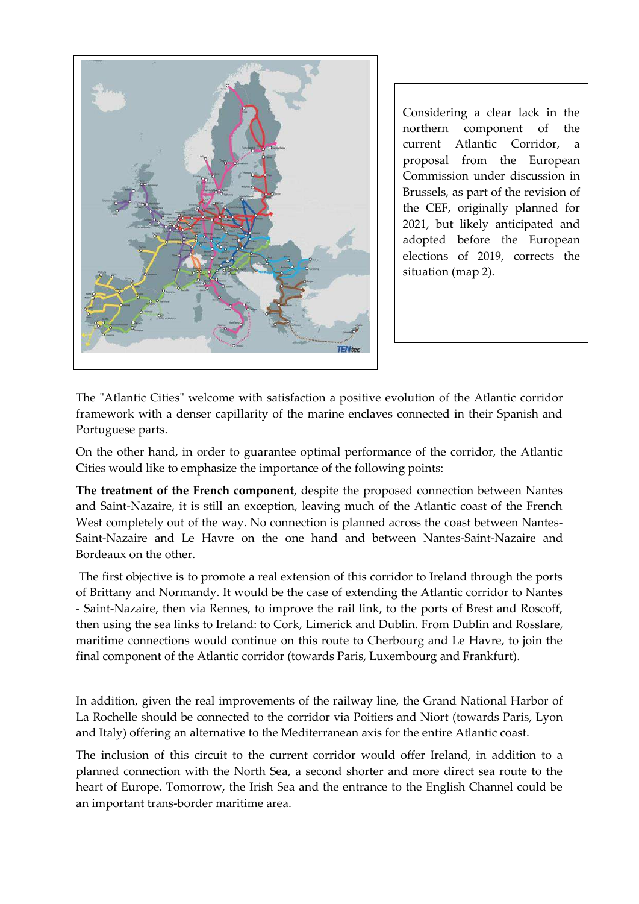

Considering a clear lack in the northern component of the current Atlantic Corridor, a proposal from the European Commission under discussion in Brussels, as part of the revision of the CEF, originally planned for 2021, but likely anticipated and adopted before the European elections of 2019, corrects the situation (map 2).

The "Atlantic Cities" welcome with satisfaction a positive evolution of the Atlantic corridor framework with a denser capillarity of the marine enclaves connected in their Spanish and Portuguese parts.

On the other hand, in order to guarantee optimal performance of the corridor, the Atlantic Cities would like to emphasize the importance of the following points:

**The treatment of the French component**, despite the proposed connection between Nantes and Saint-Nazaire, it is still an exception, leaving much of the Atlantic coast of the French West completely out of the way. No connection is planned across the coast between Nantes-Saint-Nazaire and Le Havre on the one hand and between Nantes-Saint-Nazaire and Bordeaux on the other.

The first objective is to promote a real extension of this corridor to Ireland through the ports of Brittany and Normandy. It would be the case of extending the Atlantic corridor to Nantes - Saint-Nazaire, then via Rennes, to improve the rail link, to the ports of Brest and Roscoff, then using the sea links to Ireland: to Cork, Limerick and Dublin. From Dublin and Rosslare, maritime connections would continue on this route to Cherbourg and Le Havre, to join the final component of the Atlantic corridor (towards Paris, Luxembourg and Frankfurt).

In addition, given the real improvements of the railway line, the Grand National Harbor of La Rochelle should be connected to the corridor via Poitiers and Niort (towards Paris, Lyon and Italy) offering an alternative to the Mediterranean axis for the entire Atlantic coast.

The inclusion of this circuit to the current corridor would offer Ireland, in addition to a planned connection with the North Sea, a second shorter and more direct sea route to the heart of Europe. Tomorrow, the Irish Sea and the entrance to the English Channel could be an important trans-border maritime area.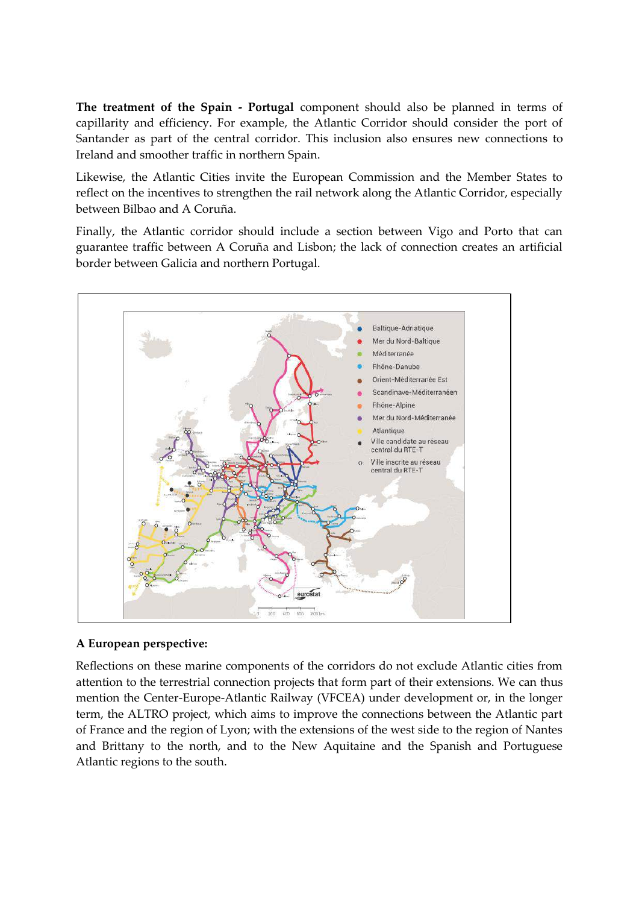**The treatment of the Spain - Portugal** component should also be planned in terms of capillarity and efficiency. For example, the Atlantic Corridor should consider the port of Santander as part of the central corridor. This inclusion also ensures new connections to Ireland and smoother traffic in northern Spain.

Likewise, the Atlantic Cities invite the European Commission and the Member States to reflect on the incentives to strengthen the rail network along the Atlantic Corridor, especially between Bilbao and A Coruña.

Finally, the Atlantic corridor should include a section between Vigo and Porto that can guarantee traffic between A Coruña and Lisbon; the lack of connection creates an artificial border between Galicia and northern Portugal.



#### **A European perspective:**

Reflections on these marine components of the corridors do not exclude Atlantic cities from attention to the terrestrial connection projects that form part of their extensions. We can thus mention the Center-Europe-Atlantic Railway (VFCEA) under development or, in the longer term, the ALTRO project, which aims to improve the connections between the Atlantic part of France and the region of Lyon; with the extensions of the west side to the region of Nantes and Brittany to the north, and to the New Aquitaine and the Spanish and Portuguese Atlantic regions to the south.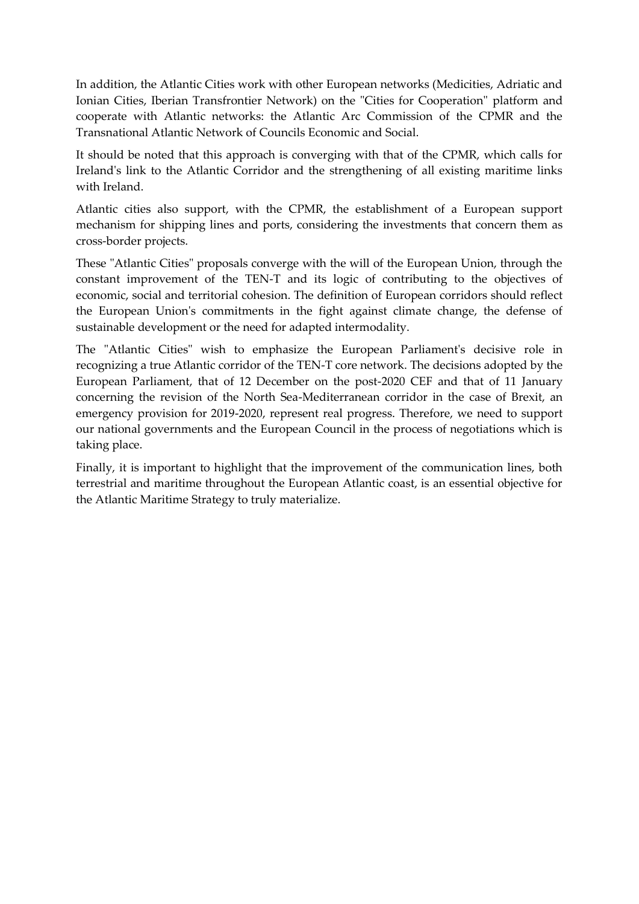In addition, the Atlantic Cities work with other European networks (Medicities, Adriatic and Ionian Cities, Iberian Transfrontier Network) on the "Cities for Cooperation" platform and cooperate with Atlantic networks: the Atlantic Arc Commission of the CPMR and the Transnational Atlantic Network of Councils Economic and Social.

It should be noted that this approach is converging with that of the CPMR, which calls for Ireland's link to the Atlantic Corridor and the strengthening of all existing maritime links with Ireland.

Atlantic cities also support, with the CPMR, the establishment of a European support mechanism for shipping lines and ports, considering the investments that concern them as cross-border projects.

These "Atlantic Cities" proposals converge with the will of the European Union, through the constant improvement of the TEN-T and its logic of contributing to the objectives of economic, social and territorial cohesion. The definition of European corridors should reflect the European Union's commitments in the fight against climate change, the defense of sustainable development or the need for adapted intermodality.

The "Atlantic Cities" wish to emphasize the European Parliament's decisive role in recognizing a true Atlantic corridor of the TEN-T core network. The decisions adopted by the European Parliament, that of 12 December on the post-2020 CEF and that of 11 January concerning the revision of the North Sea-Mediterranean corridor in the case of Brexit, an emergency provision for 2019-2020, represent real progress. Therefore, we need to support our national governments and the European Council in the process of negotiations which is taking place.

Finally, it is important to highlight that the improvement of the communication lines, both terrestrial and maritime throughout the European Atlantic coast, is an essential objective for the Atlantic Maritime Strategy to truly materialize.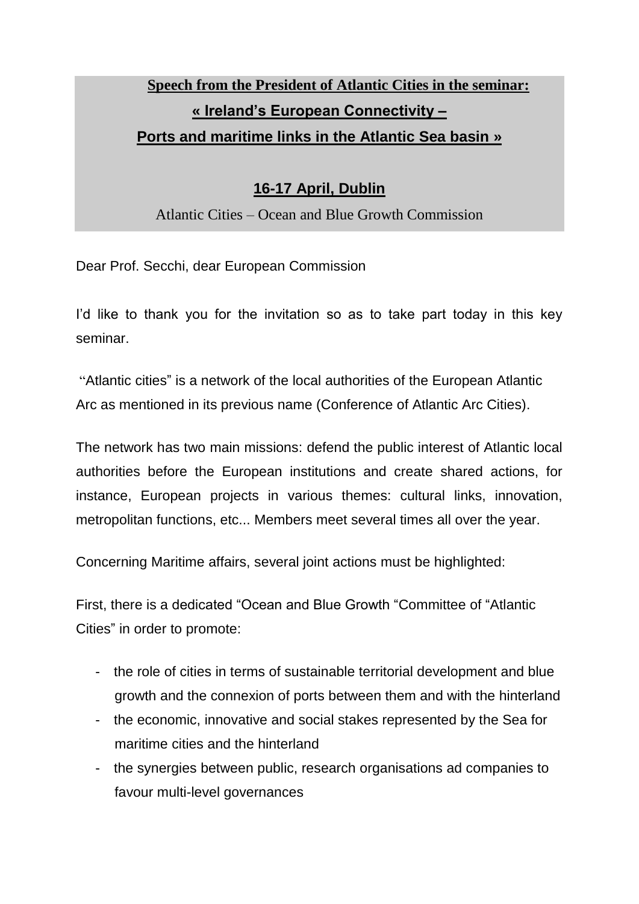#### **Speech from the President of Atlantic Cities in the seminar: « Ireland's European Connectivity – Ports and maritime links in the Atlantic Sea basin »**

#### **16-17 April, Dublin**

Atlantic Cities – Ocean and Blue Growth Commission

Dear Prof. Secchi, dear European Commission

I'd like to thank you for the invitation so as to take part today in this key seminar.

"Atlantic cities" is a network of the local authorities of the European Atlantic Arc as mentioned in its previous name (Conference of Atlantic Arc Cities).

The network has two main missions: defend the public interest of Atlantic local authorities before the European institutions and create shared actions, for instance, European projects in various themes: cultural links, innovation, metropolitan functions, etc... Members meet several times all over the year.

Concerning Maritime affairs, several joint actions must be highlighted:

First, there is a dedicated "Ocean and Blue Growth "Committee of "Atlantic Cities" in order to promote:

- the role of cities in terms of sustainable territorial development and blue growth and the connexion of ports between them and with the hinterland
- the economic, innovative and social stakes represented by the Sea for maritime cities and the hinterland
- the synergies between public, research organisations ad companies to favour multi-level governances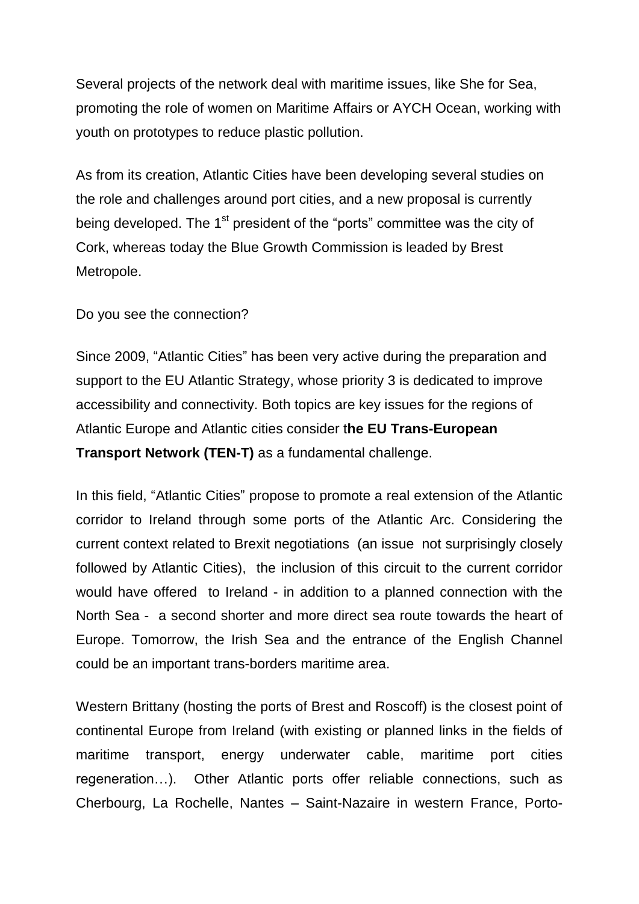Several projects of the network deal with maritime issues, like She for Sea, promoting the role of women on Maritime Affairs or AYCH Ocean, working with youth on prototypes to reduce plastic pollution.

As from its creation, Atlantic Cities have been developing several studies on the role and challenges around port cities, and a new proposal is currently being developed. The  $1<sup>st</sup>$  president of the "ports" committee was the city of Cork, whereas today the Blue Growth Commission is leaded by Brest Metropole.

Do you see the connection?

Since 2009, "Atlantic Cities" has been very active during the preparation and support to the EU Atlantic Strategy, whose priority 3 is dedicated to improve accessibility and connectivity. Both topics are key issues for the regions of Atlantic Europe and Atlantic cities consider t**he EU Trans-European Transport Network (TEN-T)** as a fundamental challenge.

In this field, "Atlantic Cities" propose to promote a real extension of the Atlantic corridor to Ireland through some ports of the Atlantic Arc. Considering the current context related to Brexit negotiations (an issue not surprisingly closely followed by Atlantic Cities), the inclusion of this circuit to the current corridor would have offered to Ireland - in addition to a planned connection with the North Sea - a second shorter and more direct sea route towards the heart of Europe. Tomorrow, the Irish Sea and the entrance of the English Channel could be an important trans-borders maritime area.

Western Brittany (hosting the ports of Brest and Roscoff) is the closest point of continental Europe from Ireland (with existing or planned links in the fields of maritime transport, energy underwater cable, maritime port cities regeneration…). Other Atlantic ports offer reliable connections, such as Cherbourg, La Rochelle, Nantes – Saint-Nazaire in western France, Porto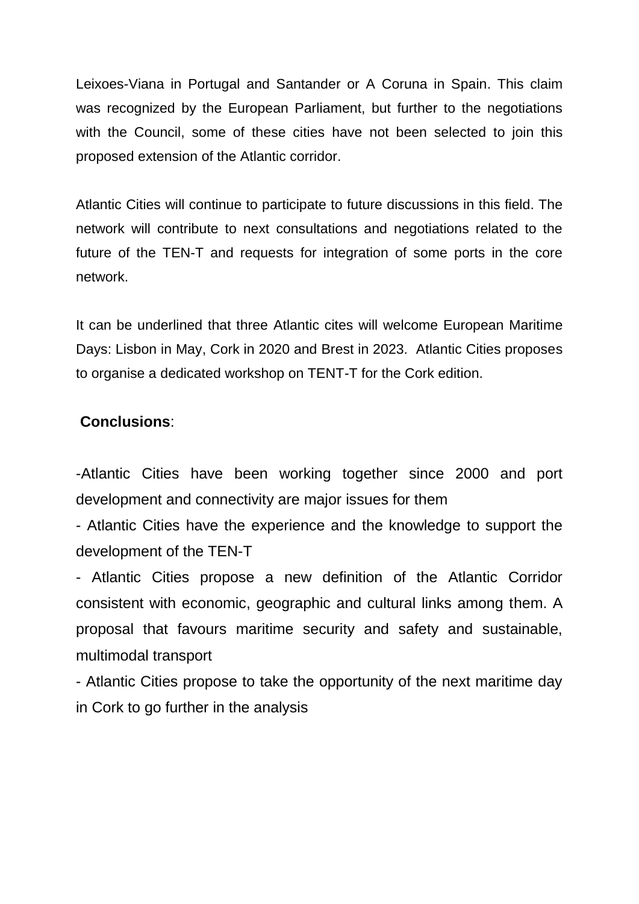Leixoes-Viana in Portugal and Santander or A Coruna in Spain. This claim was recognized by the European Parliament, but further to the negotiations with the Council, some of these cities have not been selected to join this proposed extension of the Atlantic corridor.

Atlantic Cities will continue to participate to future discussions in this field. The network will contribute to next consultations and negotiations related to the future of the TEN-T and requests for integration of some ports in the core network.

It can be underlined that three Atlantic cites will welcome European Maritime Days: Lisbon in May, Cork in 2020 and Brest in 2023. Atlantic Cities proposes to organise a dedicated workshop on TENT-T for the Cork edition.

#### **Conclusions**:

-Atlantic Cities have been working together since 2000 and port development and connectivity are major issues for them

- Atlantic Cities have the experience and the knowledge to support the development of the TEN-T

- Atlantic Cities propose a new definition of the Atlantic Corridor consistent with economic, geographic and cultural links among them. A proposal that favours maritime security and safety and sustainable, multimodal transport

- Atlantic Cities propose to take the opportunity of the next maritime day in Cork to go further in the analysis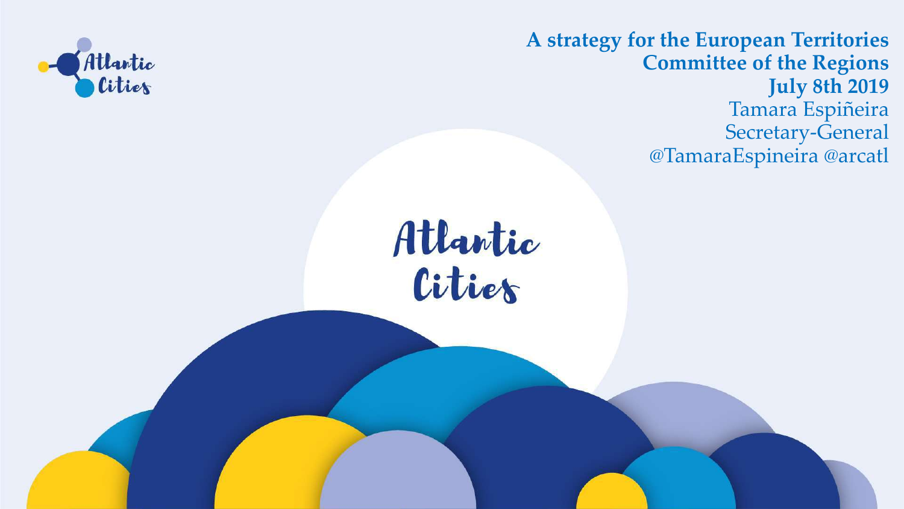



**A strategy for the European Territories Committee of the Regions July 8th 2019** Tamara Espiñeira Secretary-General @TamaraEspineira @arcatl

# Atlantic

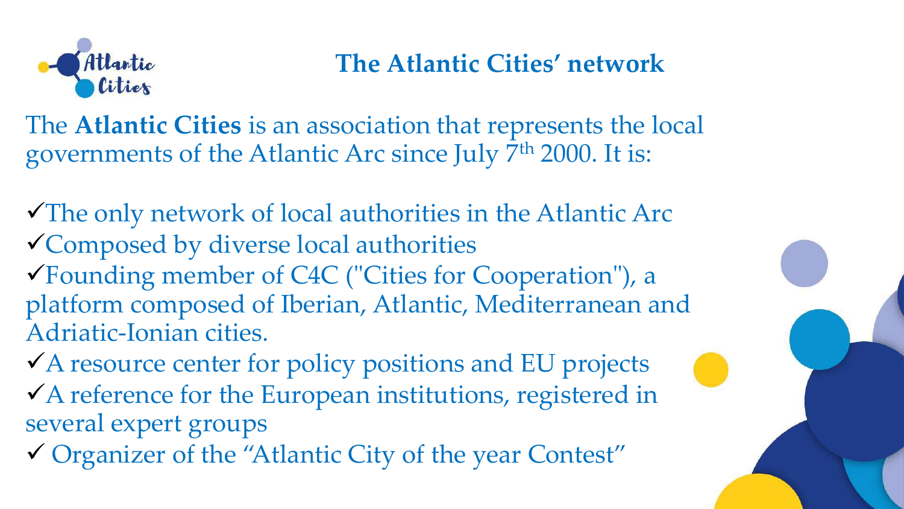The only network of local authorities in the Atlantic Arc Composed by diverse local authorities Founding member of C4C ("Cities for Cooperation"), a platform composed of Iberian, Atlantic, Mediterranean and Adriatic-Ionian cities.

A resource center for policy positions and EU projects A reference for the European institutions, registered in several expert groups

Organizer of the "Atlantic City of the year Contest"

- 
- 
- 
- 
- 





### **The Atlantic Cities' network**

The **Atlantic Cities** is an association that represents the local governments of the Atlantic Arc since July 7<sup>th</sup> 2000. It is: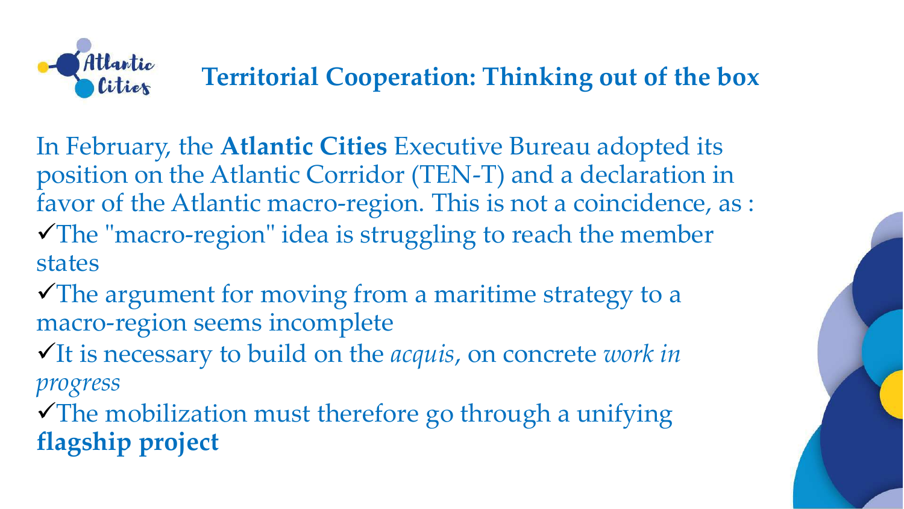In February, the **Atlantic Cities** Executive Bureau adopted its position on the Atlantic Corridor (TEN-T) and a declaration in favor of the Atlantic macro-region. This is not a coincidence, as : The "macro-region" idea is struggling to reach the member states

The argument for moving from a maritime strategy to a macro-region seems incomplete It is necessary to build on the *acquis*, on concrete *work in* 

*progress*

The mobilization must therefore go through a unifying **flagship project**





# **Territorial Cooperation: Thinking out of the box**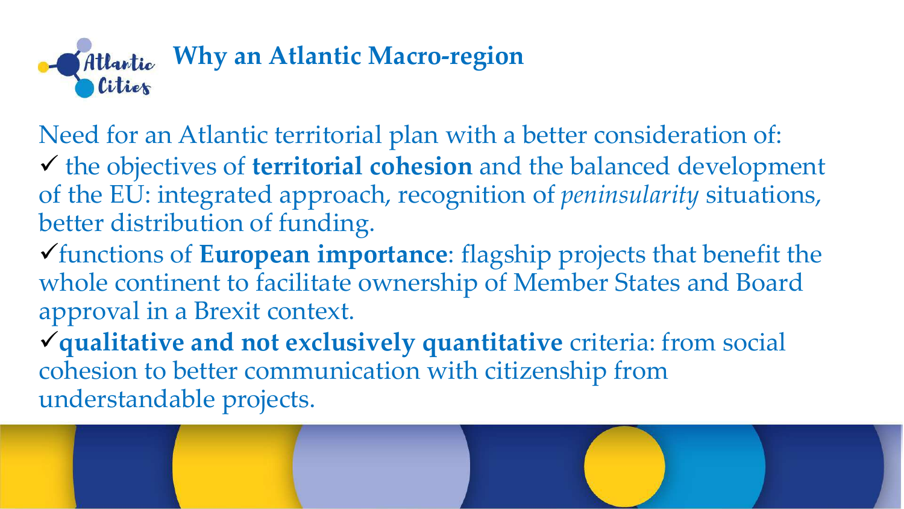

Need for an Atlantic territorial plan with a better consideration of: the objectives of **territorial cohesion** and the balanced development of the EU: integrated approach, recognition of *peninsularity* situations, better distribution of funding. functions of **European importance**: flagship projects that benefit the whole continent to facilitate ownership of Member States and Board approval in a Brexit context. **qualitative and not exclusively quantitative** criteria: from social cohesion to better communication with citizenship from understandable projects.

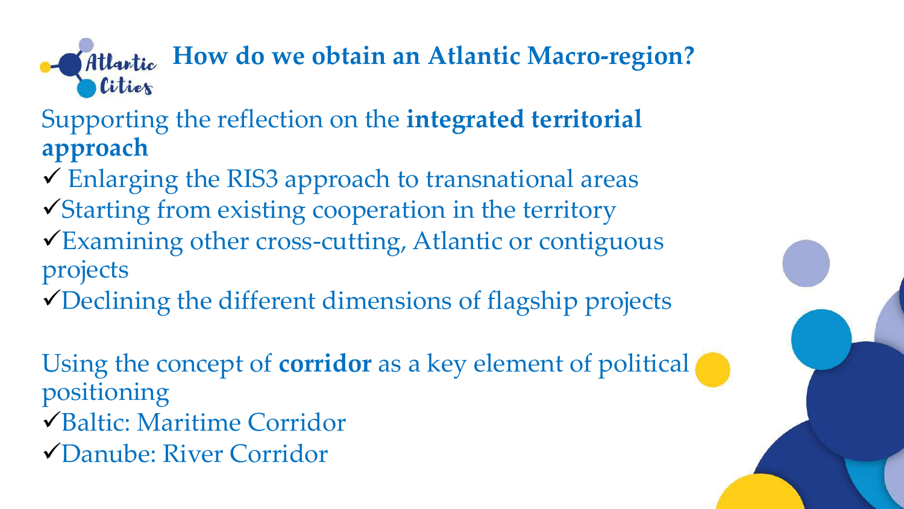**How do we obtain an Atlantic Macro-region?** 



# Atlantic Citier

Supporting the reflection on the **integrated territorial approach**

- Enlarging the RIS3 approach to transnational areas Starting from existing cooperation in the territory Examining other cross-cutting, Atlantic or contiguous projects
- Declining the different dimensions of flagship projects

Using the concept of **corridor** as a key element of political positioning Baltic: Maritime Corridor Danube: River Corridor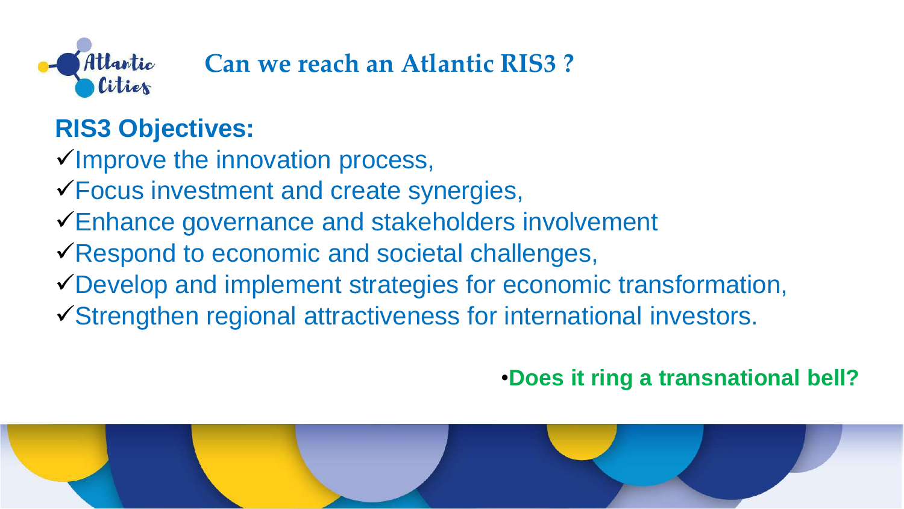

**Can we reach an Atlantic RIS3 ?** 

# **RIS3 Objectives:**

Improve the innovation process, Focus investment and create synergies, Enhance governance and stakeholders involvement Respond to economic and societal challenges, Develop and implement strategies for economic transformation, Strengthen regional attractiveness for international investors.



- 
- 
- 
- 
- 
- - •**Does it ring a transnational bell?**

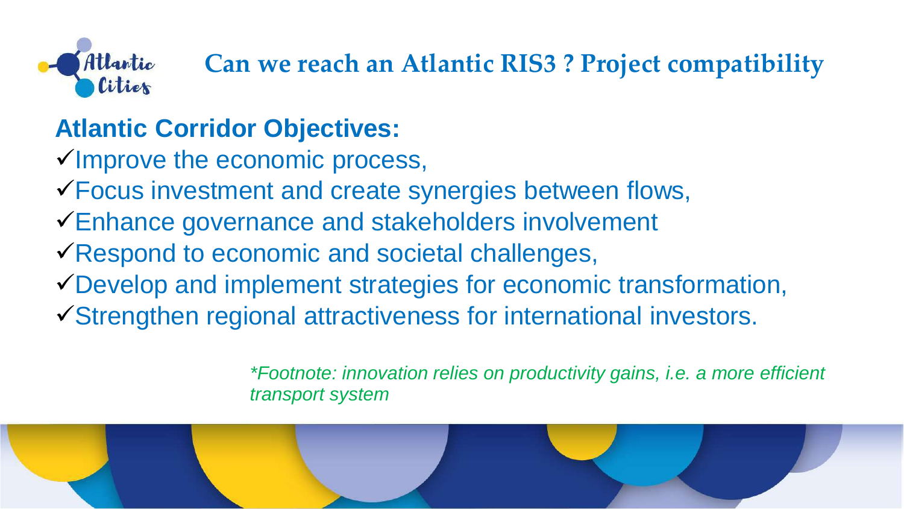# **Can we reach an Atlantic RIS3 ? Project compatibility**

- 
- 
- 
- 
- 



**Atlantic Corridor Objectives:** Improve the economic process, Focus investment and create synergies between flows, Enhance governance and stakeholders involvement Respond to economic and societal challenges, Develop and implement strategies for economic transformation, Strengthen regional attractiveness for international investors.

*\*Footnote: innovation relies on productivity gains, i.e. a more efficient*



*transport system*

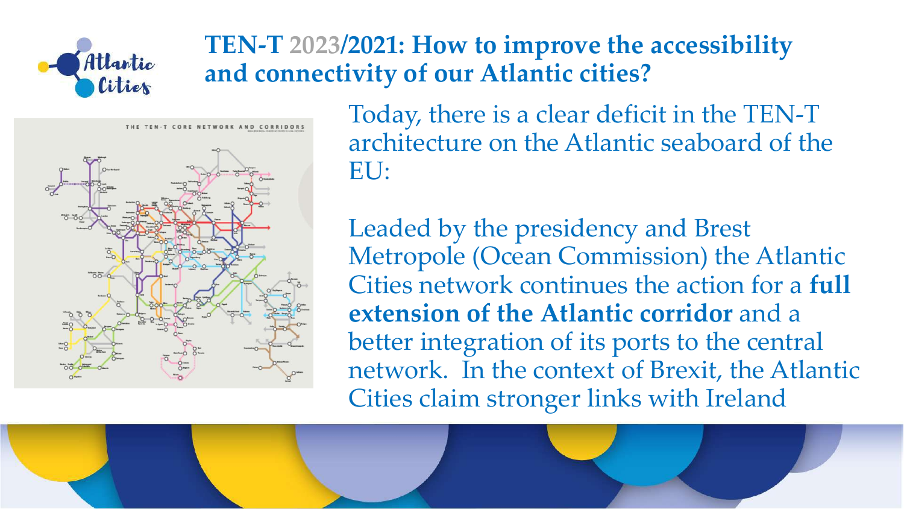

# **TEN-T 2023/2021: How to improve the accessibility and connectivity of our Atlantic cities?**



Today, there is a clear deficit in the TEN-T architecture on the Atlantic seaboard of the EU:

Leaded by the presidency and Brest Metropole (Ocean Commission) the Atlantic Cities network continues the action for a **full extension of the Atlantic corridor** and a better integration of its ports to the central network. In the context of Brexit, the Atlantic Cities claim stronger links with Ireland



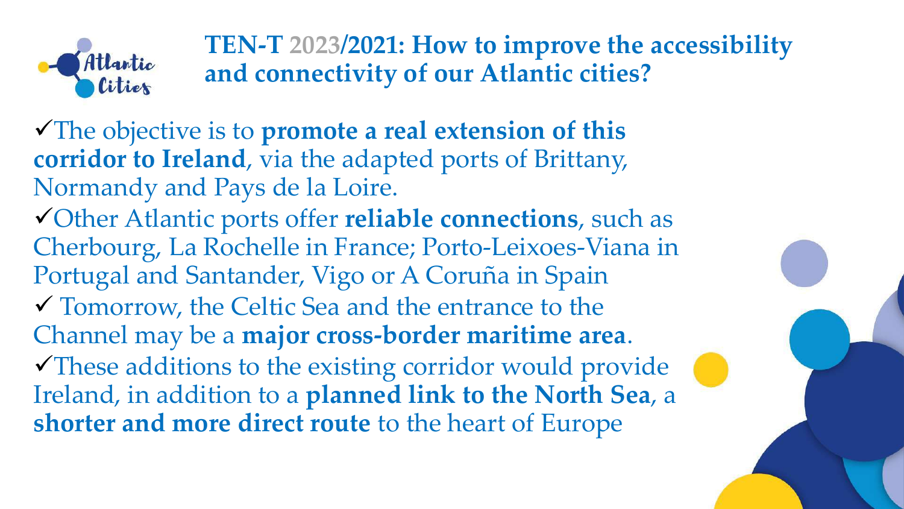The objective is to **promote a real extension of this corridor to Ireland**, via the adapted ports of Brittany, Normandy and Pays de la Loire. Other Atlantic ports offer **reliable connections**, such as Cherbourg, La Rochelle in France; Porto-Leixoes-Viana in Portugal and Santander, Vigo or A Coruña in Spain Tomorrow, the Celtic Sea and the entrance to the Channel may be a **major cross-border maritime area**. These additions to the existing corridor would provide Ireland, in addition to a **planned link to the North Sea**, a **shorter and more direct route** to the heart of Europe





**TEN-T 2023/2021: How to improve the accessibility and connectivity of our Atlantic cities?**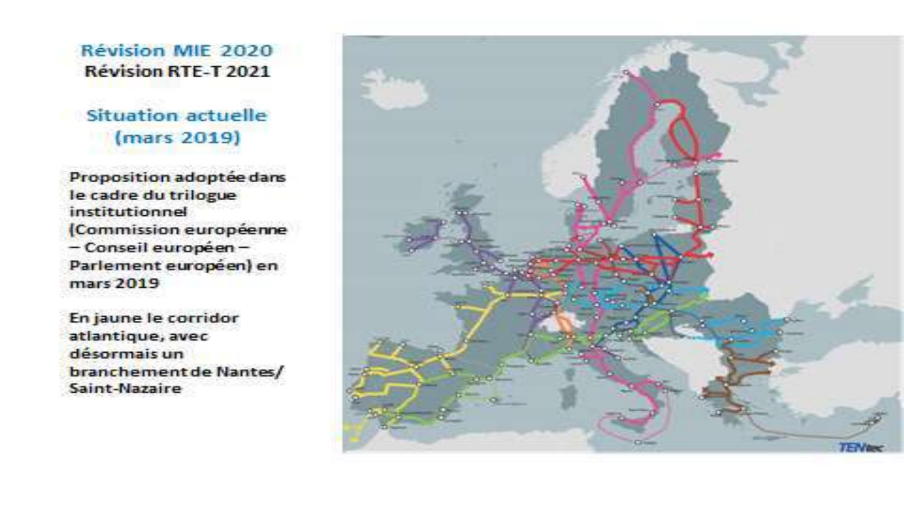#### Révision MIE 2020 **Révision RTE-T 2021**

### Situation actuelle (mars 2019)

Proposition adoptée dans le cadre du trilogue institutionnel (Commission européenne - Conseil européen-Parlement européen) en mars 2019

En jaune le corridor atlantique, avec désormais un branchement de Nantes/ Saint-Nazaire

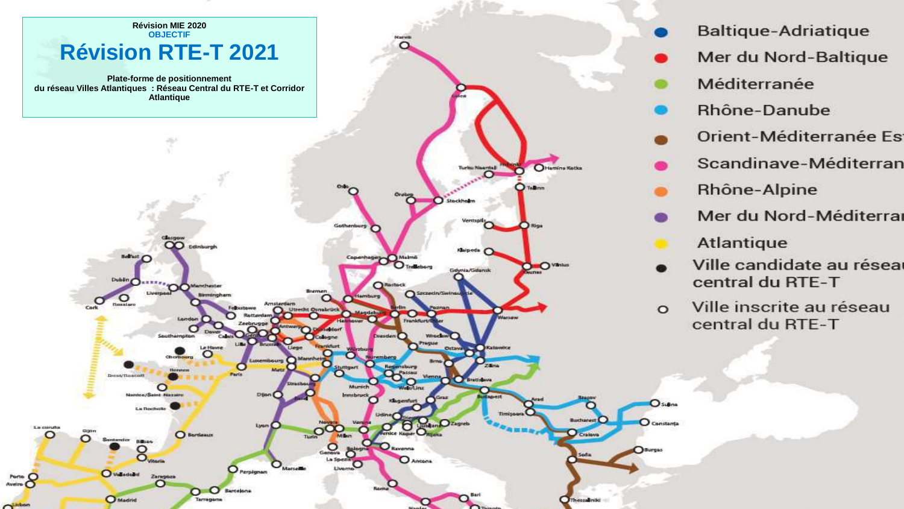

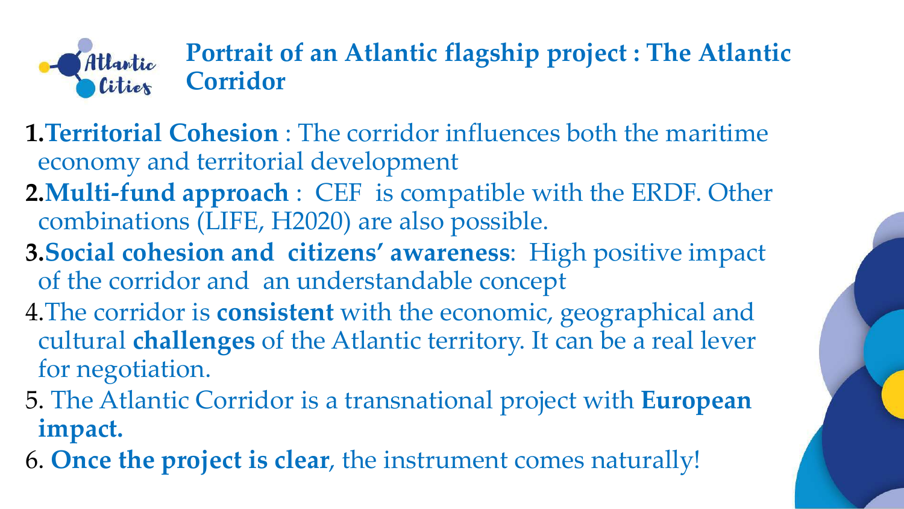# **Portrait of an Atlantic flagship project : The Atlantic**

- 
- 
- 





**Corridor**

**1.Territorial Cohesion** : The corridor influences both the maritime economy and territorial development **2.Multi-fund approach** : CEF is compatible with the ERDF. Other combinations (LIFE, H2020) are also possible. **3.Social cohesion and citizens' awareness**: High positive impact of the corridor and an understandable concept

- 4.The corridor is **consistent** with the economic, geographical and cultural **challenges** of the Atlantic territory. It can be a real lever for negotiation.
- 5. The Atlantic Corridor is a transnational project with **European impact.**
- 6. **Once the project is clear**, the instrument comes naturally!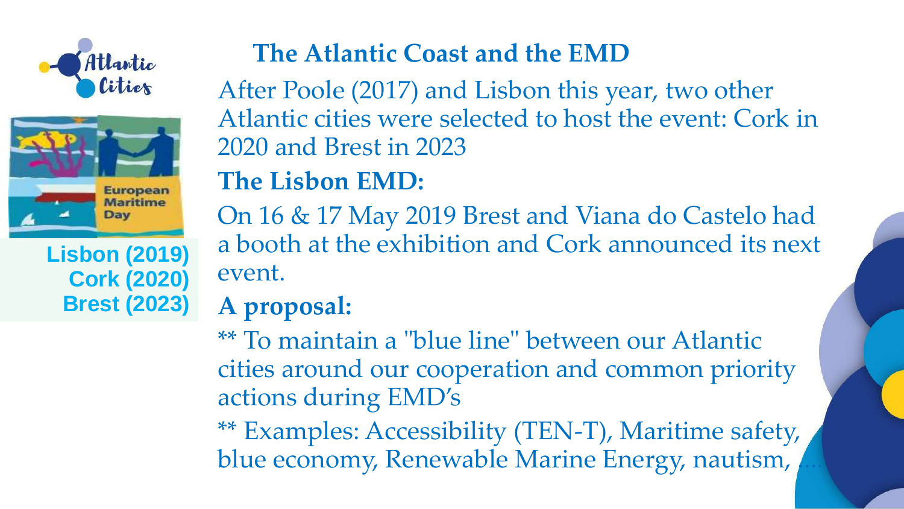



### **Lisbon (2019) Cork (2020) Brest (2023)**

After Poole (2017) and Lisbon this year, two other Atlantic cities were selected to host the event: Cork in 2020 and Brest in 2023 **The Lisbon EMD:** 

\*\* To maintain a "blue line" between our Atlantic cities around our cooperation and common priority actions during EMD's \*\* Examples: Accessibility (TEN-T), Maritime safety, blue economy, Renewable Marine Energy, nautism,



On 16 & 17 May 2019 Brest and Viana do Castelo had a booth at the exhibition and Cork announced its next event.

# **A proposal:**

# **The Atlantic Coast and the EMD**